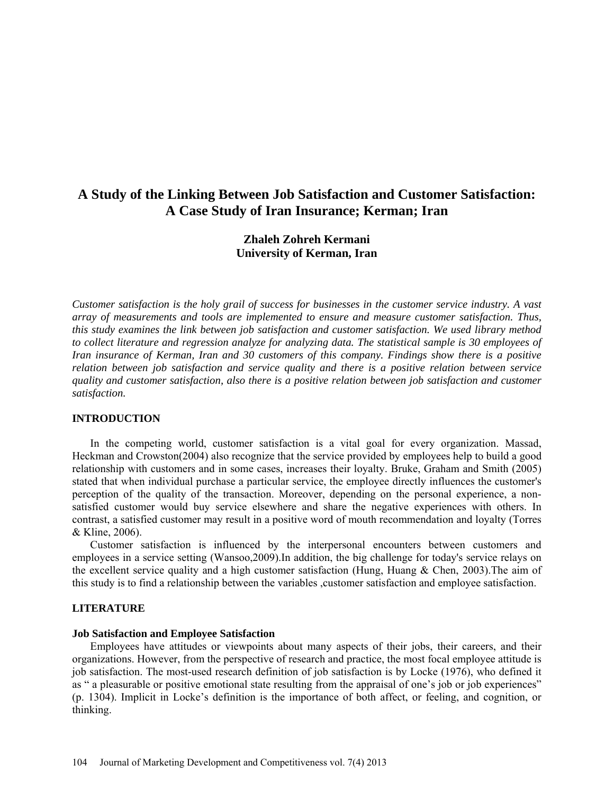# **A Study of the Linking Between Job Satisfaction and Customer Satisfaction: A Case Study of Iran Insurance; Kerman; Iran**

## **Zhaleh Zohreh Kermani University of Kerman, Iran**

*Customer satisfaction is the holy grail of success for businesses in the customer service industry. A vast array of measurements and tools are implemented to ensure and measure customer satisfaction. Thus, this study examines the link between job satisfaction and customer satisfaction. We used library method to collect literature and regression analyze for analyzing data. The statistical sample is 30 employees of Iran insurance of Kerman, Iran and 30 customers of this company. Findings show there is a positive relation between job satisfaction and service quality and there is a positive relation between service quality and customer satisfaction, also there is a positive relation between job satisfaction and customer satisfaction.*

## **INTRODUCTION**

In the competing world, customer satisfaction is a vital goal for every organization. Massad, Heckman and Crowston(2004) also recognize that the service provided by employees help to build a good relationship with customers and in some cases, increases their loyalty. Bruke, Graham and Smith (2005) stated that when individual purchase a particular service, the employee directly influences the customer's perception of the quality of the transaction. Moreover, depending on the personal experience, a nonsatisfied customer would buy service elsewhere and share the negative experiences with others. In contrast, a satisfied customer may result in a positive word of mouth recommendation and loyalty (Torres & Kline, 2006).

Customer satisfaction is influenced by the interpersonal encounters between customers and employees in a service setting (Wansoo,2009).In addition, the big challenge for today's service relays on the excellent service quality and a high customer satisfaction (Hung, Huang & Chen, 2003). The aim of this study is to find a relationship between the variables ,customer satisfaction and employee satisfaction.

## **LITERATURE**

#### **Job Satisfaction and Employee Satisfaction**

Employees have attitudes or viewpoints about many aspects of their jobs, their careers, and their organizations. However, from the perspective of research and practice, the most focal employee attitude is job satisfaction. The most-used research definition of job satisfaction is by Locke (1976), who defined it as " a pleasurable or positive emotional state resulting from the appraisal of one's job or job experiences" (p. 1304). Implicit in Locke's definition is the importance of both affect, or feeling, and cognition, or thinking.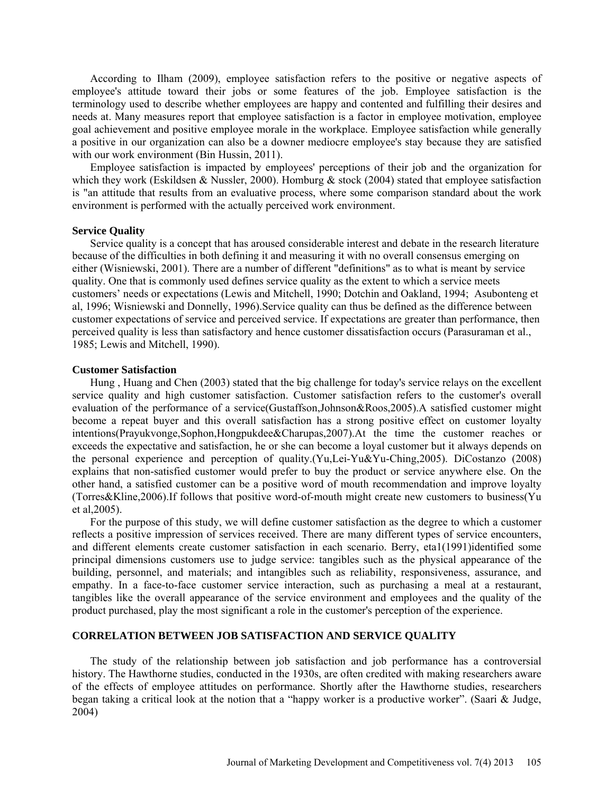According to Ilham (2009), employee satisfaction refers to the positive or negative aspects of employee's attitude toward their jobs or some features of the job. Employee satisfaction is the terminology used to describe whether employees are happy and contented and fulfilling their desires and needs at. Many measures report that employee satisfaction is a factor in employee motivation, employee goal achievement and positive employee morale in the workplace. Employee satisfaction while generally a positive in our organization can also be a downer mediocre employee's stay because they are satisfied with our work environment (Bin Hussin, 2011).

Employee satisfaction is impacted by employees' perceptions of their job and the organization for which they work (Eskildsen & Nussler, 2000). Homburg & stock (2004) stated that employee satisfaction is "an attitude that results from an evaluative process, where some comparison standard about the work environment is performed with the actually perceived work environment.

#### **Service Quality**

Service quality is a concept that has aroused considerable interest and debate in the research literature because of the difficulties in both defining it and measuring it with no overall consensus emerging on either (Wisniewski, 2001). There are a number of different "definitions" as to what is meant by service quality. One that is commonly used defines service quality as the extent to which a service meets customers' needs or expectations (Lewis and Mitchell, 1990; Dotchin and Oakland, 1994; Asubonteng et al, 1996; Wisniewski and Donnelly, 1996).Service quality can thus be defined as the difference between customer expectations of service and perceived service. If expectations are greater than performance, then perceived quality is less than satisfactory and hence customer dissatisfaction occurs (Parasuraman et al., 1985; Lewis and Mitchell, 1990).

#### **Customer Satisfaction**

Hung , Huang and Chen (2003) stated that the big challenge for today's service relays on the excellent service quality and high customer satisfaction. Customer satisfaction refers to the customer's overall evaluation of the performance of a service(Gustaffson,Johnson&Roos,2005).A satisfied customer might become a repeat buyer and this overall satisfaction has a strong positive effect on customer loyalty intentions(Prayukvonge,Sophon,Hongpukdee&Charupas,2007).At the time the customer reaches or exceeds the expectative and satisfaction, he or she can become a loyal customer but it always depends on the personal experience and perception of quality.(Yu,Lei-Yu&Yu-Ching,2005). DiCostanzo (2008) explains that non-satisfied customer would prefer to buy the product or service anywhere else. On the other hand, a satisfied customer can be a positive word of mouth recommendation and improve loyalty (Torres&Kline,2006).If follows that positive word-of-mouth might create new customers to business(Yu et al,2005).

For the purpose of this study, we will define customer satisfaction as the degree to which a customer reflects a positive impression of services received. There are many different types of service encounters, and different elements create customer satisfaction in each scenario. Berry, eta1(1991)identified some principal dimensions customers use to judge service: tangibles such as the physical appearance of the building, personnel, and materials; and intangibles such as reliability, responsiveness, assurance, and empathy. In a face-to-face customer service interaction, such as purchasing a meal at a restaurant, tangibles like the overall appearance of the service environment and employees and the quality of the product purchased, play the most significant a role in the customer's perception of the experience.

## **CORRELATION BETWEEN JOB SATISFACTION AND SERVICE QUALITY**

The study of the relationship between job satisfaction and job performance has a controversial history. The Hawthorne studies, conducted in the 1930s, are often credited with making researchers aware of the effects of employee attitudes on performance. Shortly after the Hawthorne studies, researchers began taking a critical look at the notion that a "happy worker is a productive worker". (Saari & Judge, 2004)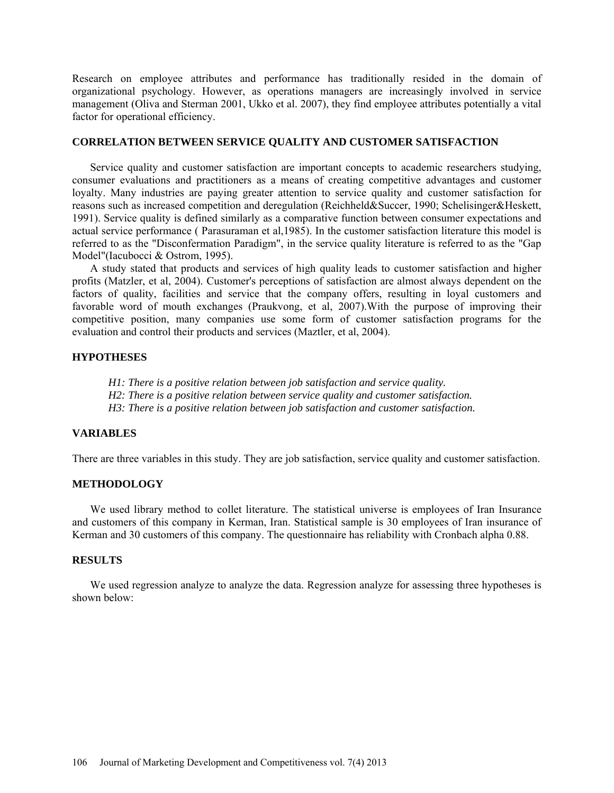Research on employee attributes and performance has traditionally resided in the domain of organizational psychology. However, as operations managers are increasingly involved in service management (Oliva and Sterman 2001, Ukko et al. 2007), they find employee attributes potentially a vital factor for operational efficiency.

#### **CORRELATION BETWEEN SERVICE QUALITY AND CUSTOMER SATISFACTION**

Service quality and customer satisfaction are important concepts to academic researchers studying, consumer evaluations and practitioners as a means of creating competitive advantages and customer loyalty. Many industries are paying greater attention to service quality and customer satisfaction for reasons such as increased competition and deregulation (Reichheld&Succer, 1990; Schelisinger&Heskett, 1991). Service quality is defined similarly as a comparative function between consumer expectations and actual service performance ( Parasuraman et al,1985). In the customer satisfaction literature this model is referred to as the "Disconfermation Paradigm", in the service quality literature is referred to as the "Gap Model"(Iacubocci & Ostrom, 1995).

A study stated that products and services of high quality leads to customer satisfaction and higher profits (Matzler, et al, 2004). Customer's perceptions of satisfaction are almost always dependent on the factors of quality, facilities and service that the company offers, resulting in loyal customers and favorable word of mouth exchanges (Praukvong, et al, 2007).With the purpose of improving their competitive position, many companies use some form of customer satisfaction programs for the evaluation and control their products and services (Maztler, et al, 2004).

## **HYPOTHESES**

*H1: There is a positive relation between job satisfaction and service quality.*

*H2: There is a positive relation between service quality and customer satisfaction.*

*H3: There is a positive relation between job satisfaction and customer satisfaction.*

#### **VARIABLES**

There are three variables in this study. They are job satisfaction, service quality and customer satisfaction.

## **METHODOLOGY**

We used library method to collet literature. The statistical universe is employees of Iran Insurance and customers of this company in Kerman, Iran. Statistical sample is 30 employees of Iran insurance of Kerman and 30 customers of this company. The questionnaire has reliability with Cronbach alpha 0.88.

## **RESULTS**

We used regression analyze to analyze the data. Regression analyze for assessing three hypotheses is shown below: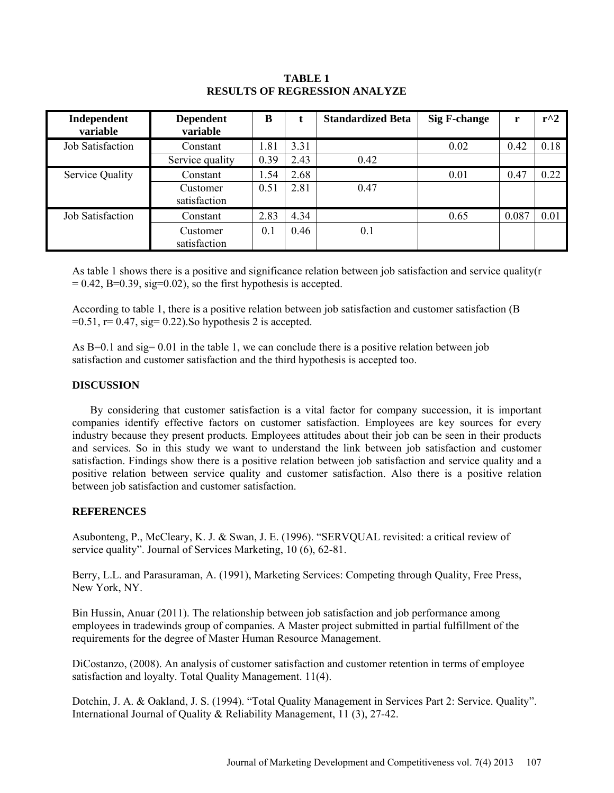## **TABLE 1 RESULTS OF REGRESSION ANALYZE**

| Independent<br>variable | <b>Dependent</b><br>variable | B    |      | <b>Standardized Beta</b> | <b>Sig F-change</b> | r     | $r^2$ |
|-------------------------|------------------------------|------|------|--------------------------|---------------------|-------|-------|
| <b>Job Satisfaction</b> | Constant                     | 1.81 | 3.31 |                          | 0.02                | 0.42  | 0.18  |
|                         | Service quality              | 0.39 | 2.43 | 0.42                     |                     |       |       |
| Service Quality         | Constant                     | 1.54 | 2.68 |                          | 0.01                | 0.47  | 0.22  |
|                         | Customer<br>satisfaction     | 0.51 | 2.81 | 0.47                     |                     |       |       |
| <b>Job Satisfaction</b> | Constant                     | 2.83 | 4.34 |                          | 0.65                | 0.087 | 0.01  |
|                         | Customer<br>satisfaction     | 0.1  | 0.46 | 0.1                      |                     |       |       |

As table 1 shows there is a positive and significance relation between job satisfaction and service quality(r  $= 0.42$ , B $= 0.39$ , sig $= 0.02$ ), so the first hypothesis is accepted.

According to table 1, there is a positive relation between job satisfaction and customer satisfaction (B  $=0.51$ ,  $r= 0.47$ , sig = 0.22). So hypothesis 2 is accepted.

As B=0.1 and sig= 0.01 in the table 1, we can conclude there is a positive relation between job satisfaction and customer satisfaction and the third hypothesis is accepted too.

## **DISCUSSION**

By considering that customer satisfaction is a vital factor for company succession, it is important companies identify effective factors on customer satisfaction. Employees are key sources for every industry because they present products. Employees attitudes about their job can be seen in their products and services. So in this study we want to understand the link between job satisfaction and customer satisfaction. Findings show there is a positive relation between job satisfaction and service quality and a positive relation between service quality and customer satisfaction. Also there is a positive relation between job satisfaction and customer satisfaction.

## **REFERENCES**

Asubonteng, P., McCleary, K. J. & Swan, J. E. (1996). "SERVQUAL revisited: a critical review of service quality". Journal of Services Marketing, 10 (6), 62-81.

Berry, L.L. and Parasuraman, A. (1991), Marketing Services: Competing through Quality, Free Press, New York, NY.

Bin Hussin, Anuar (2011). The relationship between job satisfaction and job performance among employees in tradewinds group of companies. A Master project submitted in partial fulfillment of the requirements for the degree of Master Human Resource Management.

DiCostanzo, (2008). An analysis of customer satisfaction and customer retention in terms of employee satisfaction and loyalty. Total Quality Management. 11(4).

Dotchin, J. A. & Oakland, J. S. (1994). "Total Quality Management in Services Part 2: Service. Quality". International Journal of Quality & Reliability Management, 11 (3), 27-42.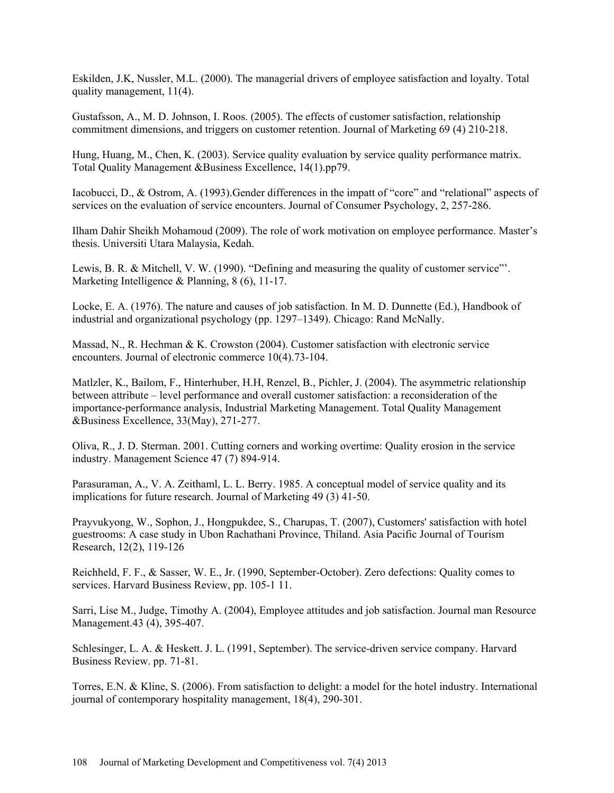Eskilden, J.K, Nussler, M.L. (2000). The managerial drivers of employee satisfaction and loyalty. Total quality management, 11(4).

Gustafsson, A., M. D. Johnson, I. Roos. (2005). The effects of customer satisfaction, relationship commitment dimensions, and triggers on customer retention. Journal of Marketing 69 (4) 210-218.

Hung, Huang, M., Chen, K. (2003). Service quality evaluation by service quality performance matrix. Total Quality Management &Business Excellence, 14(1).pp79.

Iacobucci, D., & Ostrom, A. (1993).Gender differences in the impatt of "core" and "relational" aspects of services on the evaluation of service encounters. Journal of Consumer Psychology, 2, 257-286.

Ilham Dahir Sheikh Mohamoud (2009). The role of work motivation on employee performance. Master's thesis. Universiti Utara Malaysia, Kedah.

Lewis, B. R. & Mitchell, V. W. (1990). "Defining and measuring the quality of customer service"'. Marketing Intelligence & Planning, 8 (6), 11-17.

Locke, E. A. (1976). The nature and causes of job satisfaction. In M. D. Dunnette (Ed.), Handbook of industrial and organizational psychology (pp. 1297–1349). Chicago: Rand McNally.

Massad, N., R. Hechman & K. Crowston (2004). Customer satisfaction with electronic service encounters. Journal of electronic commerce 10(4).73-104.

Matlzler, K., Bailom, F., Hinterhuber, H.H, Renzel, B., Pichler, J. (2004). The asymmetric relationship between attribute – level performance and overall customer satisfaction: a reconsideration of the importance-performance analysis, Industrial Marketing Management. Total Quality Management &Business Excellence, 33(May), 271-277.

Oliva, R., J. D. Sterman. 2001. Cutting corners and working overtime: Quality erosion in the service industry. Management Science 47 (7) 894-914.

Parasuraman, A., V. A. Zeithaml, L. L. Berry. 1985. A conceptual model of service quality and its implications for future research. Journal of Marketing 49 (3) 41-50.

Prayvukyong, W., Sophon, J., Hongpukdee, S., Charupas, T. (2007), Customers' satisfaction with hotel guestrooms: A case study in Ubon Rachathani Province, Thiland. Asia Pacific Journal of Tourism Research, 12(2), 119-126

Reichheld, F. F., & Sasser, W. E., Jr. (1990, September-October). Zero defections: Quality comes to services. Harvard Business Review, pp. 105-1 11.

Sarri, Lise M., Judge, Timothy A. (2004), Employee attitudes and job satisfaction. Journal man Resource Management.43 (4), 395-407.

Schlesinger, L. A. & Heskett. J. L. (1991, September). The service-driven service company. Harvard Business Review. pp. 71-81.

Torres, E.N. & Kline, S. (2006). From satisfaction to delight: a model for the hotel industry. International journal of contemporary hospitality management, 18(4), 290-301.